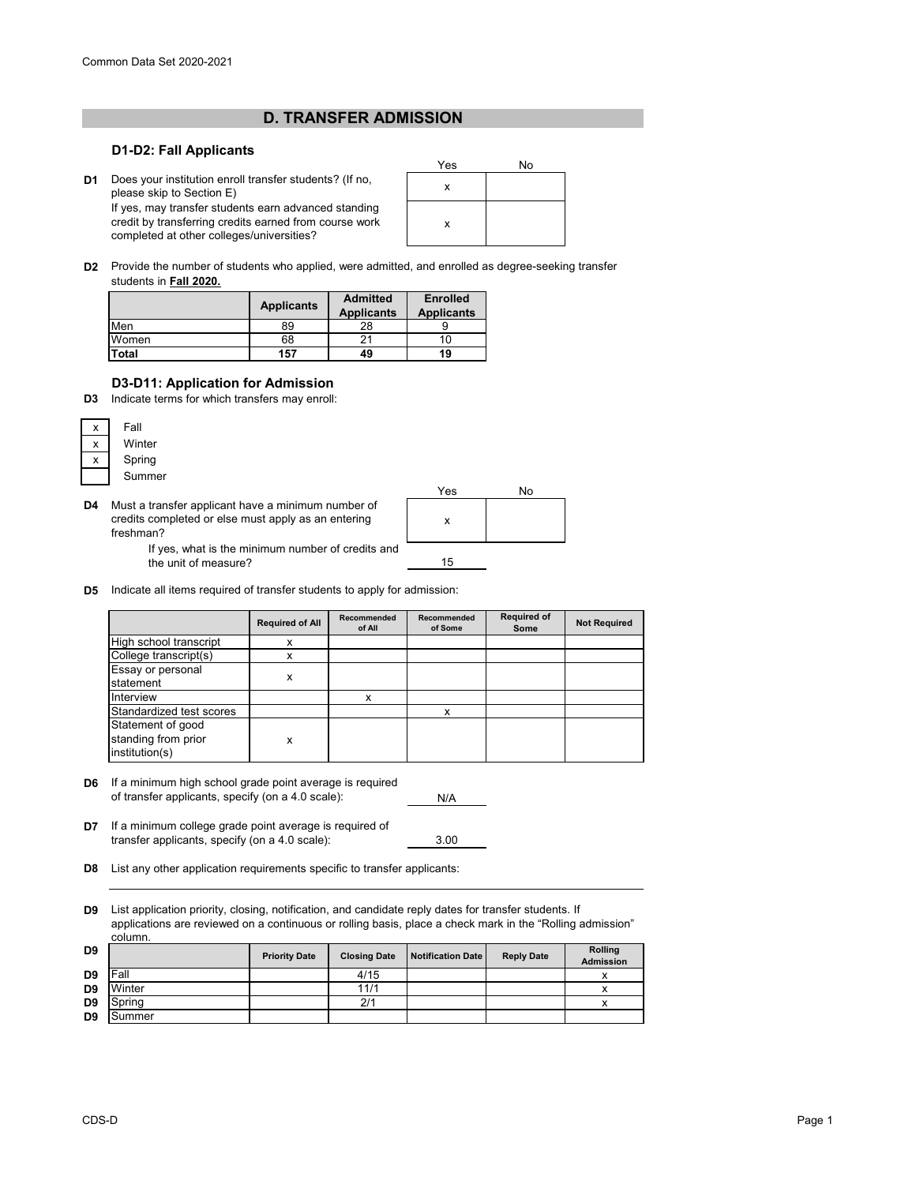## **D. TRANSFER ADMISSION**

## **D1-D2: Fall Applicants**

**D1** <sup>x</sup> Does your institution enroll transfer students? (If no, please skip to Section E) If yes, may transfer students earn advanced standing credit by transferring credits earned from course work

completed at other colleges/universities?



**D2** Provide the number of students who applied, were admitted, and enrolled as degree-seeking transfer students in **Fall 2020.**

|       | <b>Applicants</b> | <b>Admitted</b><br><b>Applicants</b> | <b>Enrolled</b><br><b>Applicants</b> |
|-------|-------------------|--------------------------------------|--------------------------------------|
| Men   | 89                | 28                                   |                                      |
| Women | 68                |                                      | 1 O                                  |
| Total | 157               | 49                                   | 19                                   |

## **D3-D11: Application for Admission**

**D3** Indicate terms for which transfers may enroll:



**D4** Must a transfer applicant have a minimum number of credits completed or else must apply as an entering freshman?



If yes, what is the minimum number of credits and the unit of measure?

**D5** Indicate all items required of transfer students to apply for admission:

|                                       | <b>Required of All</b> | Recommended<br>of All | Recommended<br>of Some | <b>Required of</b><br>Some | <b>Not Required</b> |
|---------------------------------------|------------------------|-----------------------|------------------------|----------------------------|---------------------|
| High school transcript                | x                      |                       |                        |                            |                     |
| College transcript(s)                 | x                      |                       |                        |                            |                     |
| Essay or personal                     |                        |                       |                        |                            |                     |
| statement                             | x                      |                       |                        |                            |                     |
| Interview                             |                        | x                     |                        |                            |                     |
| Standardized test scores              |                        |                       | x                      |                            |                     |
| Statement of good                     |                        |                       |                        |                            |                     |
| standing from prior<br>institution(s) | x                      |                       |                        |                            |                     |

**D6** If a minimum high school grade point average is required of transfer applicants, specify (on a 4.0 scale):

N/A

3.00

**D7** If a minimum college grade point average is required of transfer applicants, specify (on a 4.0 scale):

**D8** List any other application requirements specific to transfer applicants:

**D9** List application priority, closing, notification, and candidate reply dates for transfer students. If applications are reviewed on a continuous or rolling basis, place a check mark in the "Rolling admission" column.

| D <sub>9</sub> |        | <b>Priority Date</b> | <b>Closing Date</b> | Notification Date | <b>Reply Date</b> | <b>Rolling</b><br><b>Admission</b> |
|----------------|--------|----------------------|---------------------|-------------------|-------------------|------------------------------------|
| D <sub>9</sub> | Fall   |                      | 4/15                |                   |                   | v                                  |
| D <sub>9</sub> | Winter |                      | 11/1                |                   |                   | v                                  |
| D <sub>9</sub> | Spring |                      | 2/1                 |                   |                   |                                    |
| D <sub>9</sub> | Summer |                      |                     |                   |                   |                                    |
|                |        |                      |                     |                   |                   |                                    |